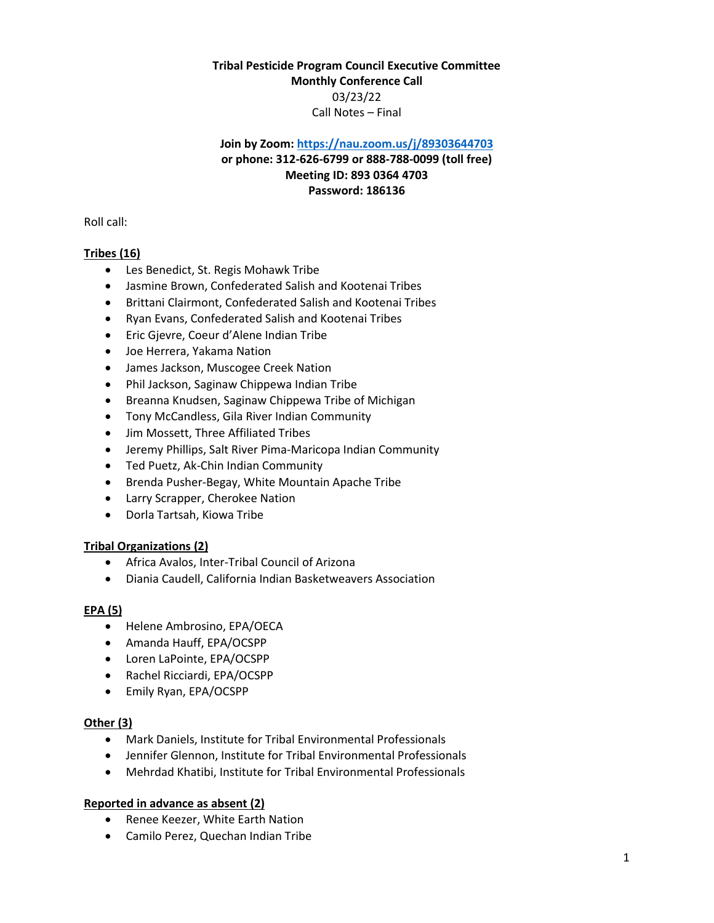# **Tribal Pesticide Program Council Executive Committee Monthly Conference Call** 03/23/22 Call Notes – Final

# **Join by Zoom[: https://nau.zoom.us/j/89303644703](https://nau.zoom.us/j/89303644703) or phone: 312-626-6799 or 888-788-0099 (toll free) Meeting ID: 893 0364 4703 Password: 186136**

Roll call:

# **Tribes (16)**

- Les Benedict, St. Regis Mohawk Tribe
- Jasmine Brown, Confederated Salish and Kootenai Tribes
- Brittani Clairmont, Confederated Salish and Kootenai Tribes
- Ryan Evans, Confederated Salish and Kootenai Tribes
- Eric Gjevre, Coeur d'Alene Indian Tribe
- Joe Herrera, Yakama Nation
- James Jackson, Muscogee Creek Nation
- Phil Jackson, Saginaw Chippewa Indian Tribe
- **•** Breanna Knudsen, Saginaw Chippewa Tribe of Michigan
- Tony McCandless, Gila River Indian Community
- Jim Mossett, Three Affiliated Tribes
- Jeremy Phillips, Salt River Pima-Maricopa Indian Community
- Ted Puetz, Ak-Chin Indian Community
- Brenda Pusher-Begay, White Mountain Apache Tribe
- Larry Scrapper, Cherokee Nation
- Dorla Tartsah, Kiowa Tribe

## **Tribal Organizations (2)**

- Africa Avalos, Inter-Tribal Council of Arizona
- Diania Caudell, California Indian Basketweavers Association

## **EPA (5)**

- Helene Ambrosino, EPA/OECA
- Amanda Hauff, EPA/OCSPP
- Loren LaPointe, EPA/OCSPP
- Rachel Ricciardi, EPA/OCSPP
- Emily Ryan, EPA/OCSPP

## **Other (3)**

- Mark Daniels, Institute for Tribal Environmental Professionals
- Jennifer Glennon, Institute for Tribal Environmental Professionals
- Mehrdad Khatibi, Institute for Tribal Environmental Professionals

## **Reported in advance as absent (2)**

- Renee Keezer, White Earth Nation
- Camilo Perez, Quechan Indian Tribe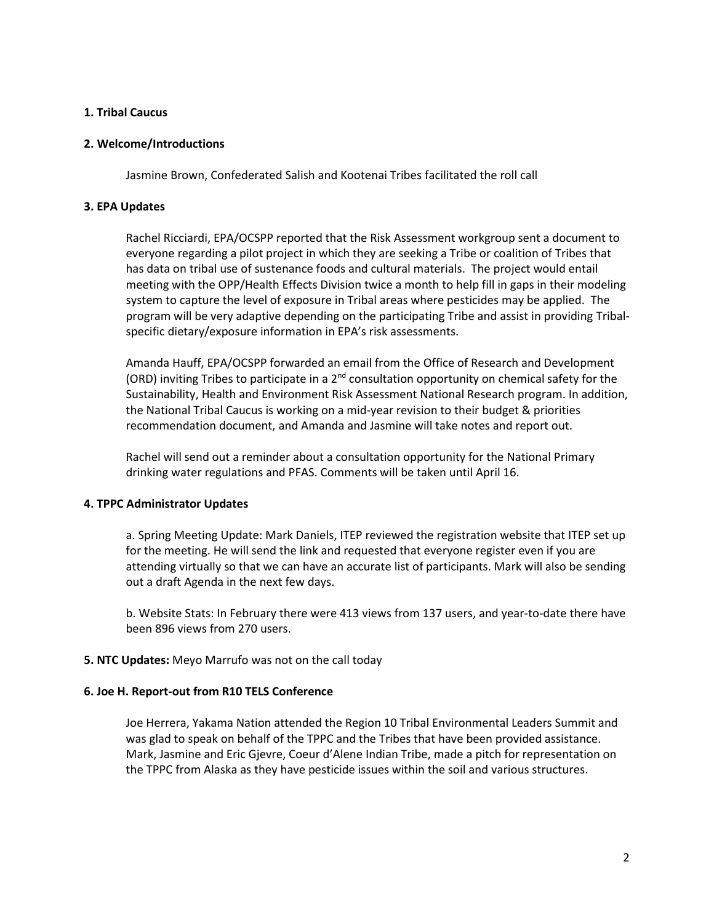## **1. Tribal Caucus**

### **2. Welcome/Introductions**

Jasmine Brown, Confederated Salish and Kootenai Tribes facilitated the roll call

### **3. EPA Updates**

Rachel Ricciardi, EPA/OCSPP reported that the Risk Assessment workgroup sent a document to everyone regarding a pilot project in which they are seeking a Tribe or coalition of Tribes that has data on tribal use of sustenance foods and cultural materials. The project would entail meeting with the OPP/Health Effects Division twice a month to help fill in gaps in their modeling system to capture the level of exposure in Tribal areas where pesticides may be applied. The program will be very adaptive depending on the participating Tribe and assist in providing Tribalspecific dietary/exposure information in EPA's risk assessments.

Amanda Hauff, EPA/OCSPP forwarded an email from the Office of Research and Development (ORD) inviting Tribes to participate in a 2<sup>nd</sup> consultation opportunity on chemical safety for the Sustainability, Health and Environment Risk Assessment National Research program. In addition, the National Tribal Caucus is working on a mid-year revision to their budget & priorities recommendation document, and Amanda and Jasmine will take notes and report out.

Rachel will send out a reminder about a consultation opportunity for the National Primary drinking water regulations and PFAS. Comments will be taken until April 16.

## **4. TPPC Administrator Updates**

a. Spring Meeting Update: Mark Daniels, ITEP reviewed the registration website that ITEP set up for the meeting. He will send the link and requested that everyone register even if you are attending virtually so that we can have an accurate list of participants. Mark will also be sending out a draft Agenda in the next few days.

b. Website Stats: In February there were 413 views from 137 users, and year-to-date there have been 896 views from 270 users.

#### **5. NTC Updates:** Meyo Marrufo was not on the call today

#### **6. Joe H. Report-out from R10 TELS Conference**

Joe Herrera, Yakama Nation attended the Region 10 Tribal Environmental Leaders Summit and was glad to speak on behalf of the TPPC and the Tribes that have been provided assistance. Mark, Jasmine and Eric Gjevre, Coeur d'Alene Indian Tribe, made a pitch for representation on the TPPC from Alaska as they have pesticide issues within the soil and various structures.